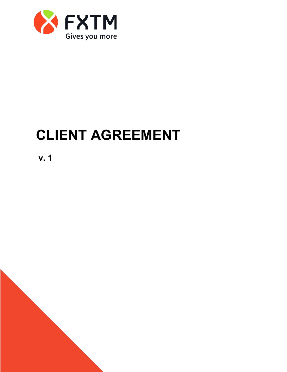

# **CLIENT AGREEMENT**

**v. 1**

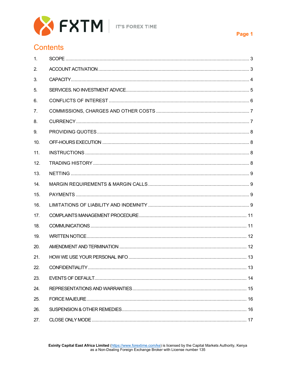

# **Contents**

| $\mathbf{1}$ .  |  |
|-----------------|--|
| 2.              |  |
| 3.              |  |
| 5.              |  |
| 6.              |  |
| 7.              |  |
| 8.              |  |
| 9.              |  |
| 10.             |  |
| 11.             |  |
| 12.             |  |
| 13.             |  |
| 14.             |  |
| 15.             |  |
| 16.             |  |
| 17 <sub>1</sub> |  |
| 18.             |  |
| 19.             |  |
| 20.             |  |
| 21.             |  |
| 22.             |  |
| 23.             |  |
| 24.             |  |
| 25.             |  |
| 26.             |  |
| 27.             |  |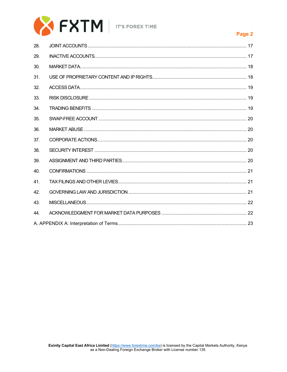

| 28. |  |
|-----|--|
| 29. |  |
| 30. |  |
| 31. |  |
| 32. |  |
| 33. |  |
| 34. |  |
| 35. |  |
| 36. |  |
| 37. |  |
| 38. |  |
| 39. |  |
| 40. |  |
| 41. |  |
| 42. |  |
| 43. |  |
| 44. |  |
|     |  |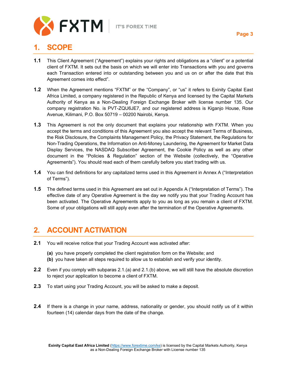

## <span id="page-3-0"></span>**1. SCOPE**

- **1.1** This Client Agreement ("Agreement") explains your rights and obligations as a "client" or a potential client of FXTM. It sets out the basis on which we will enter into Transactions with you and governs each Transaction entered into or outstanding between you and us on or after the date that this Agreement comes into effect".
- **1.2** When the Agreement mentions "FXTM" or the "Company", or "us" it refers to Exinity Capital East Africa Limited, a company registered in the Republic of Kenya and licensed by the Capital Markets Authority of Kenya as a Non-Dealing Foreign Exchange Broker with license number 135. Our company registration No. is PVT-ZQU6JE7, and our registered address is Kiganjo House, Rose Avenue, Kilimani, P.O. Box 50719 – 00200 Nairobi, Kenya.
- **1.3** This Agreement is not the only document that explains your relationship with FXTM. When you accept the terms and conditions of this Agreement you also accept the relevant Terms of Business, the Risk Disclosure, the Complaints Management Policy, the Privacy Statement, the Regulations for Non-Trading Operations, the Information on Anti-Money Laundering, the Agreement for Market Data Display Services, the NASDAQ Subscriber Agreement, the Cookie Policy as well as any other document in the "Policies & Regulation" section of the Website (collectively, the "Operative Agreements"). You should read each of them carefully before you start trading with us.
- **1.4** You can find definitions for any capitalized terms used in this Agreement in Annex A ("Interpretation of Terms").
- **1.5** The defined terms used in this Agreement are set out in Appendix A ("Interpretation of Terms"). The effective date of any Operative Agreement is the day we notify you that your Trading Account has been activated. The Operative Agreements apply to you as long as you remain a client of FXTM. Some of your obligations will still apply even after the termination of the Operative Agreements.

## <span id="page-3-1"></span>**2. ACCOUNT ACTIVATION**

- **2.1** You will receive notice that your Trading Account was activated after:
	- **(a)** you have properly completed the client registration form on the Website; and
	- **(b)** you have taken all steps required to allow us to establish and verify your identity.
- **2.2** Even if you comply with subparas 2.1.(a) and 2.1.(b) above, we will still have the absolute discretion to reject your application to become a client of FXTM.
- **2.3** To start using your Trading Account, you will be asked to make a deposit.
- **2.4** If there is a change in your name, address, nationality or gender, you should notify us of it within fourteen (14) calendar days from the date of the change.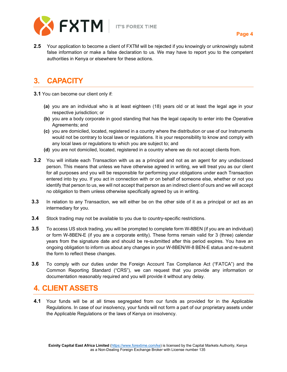

**2.5** Your application to become a client of FXTM will be rejected if you knowingly or unknowingly submit false information or make a false declaration to us. We may have to report you to the competent authorities in Kenya or elsewhere for these actions.

# <span id="page-4-0"></span>**3. CAPACITY**

- **3.1** You can become our client only if:
	- **(a)** you are an individual who is at least eighteen (18) years old or at least the legal age in your respective jurisdiction; or
	- **(b)** you are a body corporate in good standing that has the legal capacity to enter into the Operative Agreements; and
	- **(c)** you are domiciled, located, registered in a country where the distribution or use of our Instruments would not be contrary to local laws or regulations. It is your responsibility to know and comply with any local laws or regulations to which you are subject to; and
	- **(d)** you are not domiciled, located, registered in a country where we do not accept clients from.
- **3.2** You will initiate each Transaction with us as a principal and not as an agent for any undisclosed person. This means that unless we have otherwise agreed in writing, we will treat you as our client for all purposes and you will be responsible for performing your obligations under each Transaction entered into by you. If you act in connection with or on behalf of someone else, whether or not you identify that person to us, we will not accept that person as an indirect client of ours and we will accept no obligation to them unless otherwise specifically agreed by us in writing.
- **3.3** In relation to any Transaction, we will either be on the other side of it as a principal or act as an intermediary for you.
- **3.4** Stock trading may not be available to you due to country-specific restrictions.
- **3.5** To access US stock trading, you will be prompted to complete form W-8BEN (if you are an individual) or form W-8BEN-E (if you are a corporate entity). These forms remain valid for 3 (three) calendar years from the signature date and should be re-submitted after this period expires. You have an ongoing obligation to inform us about any changes in your W-8BEN/W-8 BEN-E status and re-submit the form to reflect these changes.
- **3.6** To comply with our duties under the Foreign Account Tax Compliance Act ("FATCA") and the Common Reporting Standard ("CRS"), we can request that you provide any information or documentation reasonably required and you will provide it without any delay.

## **4. CLIENT ASSETS**

**4.1** Your funds will be at all times segregated from our funds as provided for in the Applicable Regulations. In case of our insolvency, your funds will not form a part of our proprietary assets under the Applicable Regulations or the laws of Kenya on insolvency.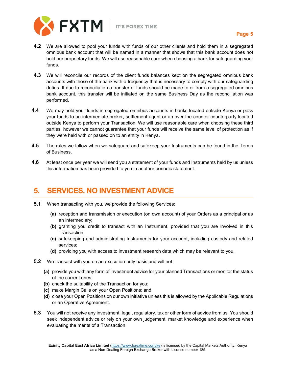

- **4.2** We are allowed to pool your funds with funds of our other clients and hold them in a segregated omnibus bank account that will be named in a manner that shows that this bank account does not hold our proprietary funds. We will use reasonable care when choosing a bank for safeguarding your funds.
- **4.3** We will reconcile our records of the client funds balances kept on the segregated omnibus bank accounts with those of the bank with a frequency that is necessary to comply with our safeguarding duties. If due to reconciliation a transfer of funds should be made to or from a segregated omnibus bank account, this transfer will be initiated on the same Business Day as the reconciliation was performed.
- **4.4** We may hold your funds in segregated omnibus accounts in banks located outside Kenya or pass your funds to an intermediate broker, settlement agent or an over-the-counter counterparty located outside Kenya to perform your Transaction. We will use reasonable care when choosing these third parties, however we cannot guarantee that your funds will receive the same level of protection as if they were held with or passed on to an entity in Kenya.
- **4.5** The rules we follow when we safeguard and safekeep your Instruments can be found in the Terms of Business.
- **4.6** At least once per year we will send you a statement of your funds and Instruments held by us unless this information has been provided to you in another periodic statement.

#### <span id="page-5-0"></span>**5. SERVICES. NO INVESTMENT ADVICE**

- **5.1** When transacting with you, we provide the following Services:
	- **(a)** reception and transmission or execution (on own account) of your Orders as a principal or as an intermediary;
	- **(b)** granting you credit to transact with an Instrument, provided that you are involved in this Transaction;
	- **(c)** safekeeping and administrating Instruments for your account, including custody and related services;
	- **(d)** providing you with access to investment research data which may be relevant to you.
- **5.2** We transact with you on an execution-only basis and will not:
	- **(a)** provide you with any form of investment advice for your planned Transactions or monitor the status of the current ones;
	- **(b)** check the suitability of the Transaction for you;
	- **(c)** make Margin Calls on your Open Positions; and
	- **(d)** close your Open Positions on our own initiative unless this is allowed by the Applicable Regulations or an Operative Agreement.
- **5.3** You will not receive any investment, legal, regulatory, tax or other form of advice from us. You should seek independent advice or rely on your own judgement, market knowledge and experience when evaluating the merits of a Transaction.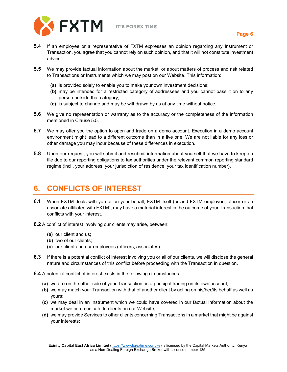

- **5.4** If an employee or a representative of FXTM expresses an opinion regarding any Instrument or Transaction, you agree that you cannot rely on such opinion, and that it will not constitute investment advice.
- **5.5** We may provide factual information about the market; or about matters of process and risk related to Transactions or Instruments which we may post on our Website. This information:
	- **(a)** is provided solely to enable you to make your own investment decisions;
	- **(b)** may be intended for a restricted category of addressees and you cannot pass it on to any person outside that category;
	- **(c)** is subject to change and may be withdrawn by us at any time without notice.
- **5.6** We give no representation or warranty as to the accuracy or the completeness of the information mentioned in Clause 5.5.
- **5.7** We may offer you the option to open and trade on a demo account. Execution in a demo account environment might lead to a different outcome than in a live one. We are not liable for any loss or other damage you may incur because of these differences in execution.
- **5.8** Upon our request, you will submit and resubmit information about yourself that we have to keep on file due to our reporting obligations to tax authorities under the relevant common reporting standard regime (incl., your address, your jurisdiction of residence, your tax identification number).

# <span id="page-6-0"></span>**6. CONFLICTS OF INTEREST**

- **6.1** When FXTM deals with you or on your behalf, FXTM itself (or and FXTM employee, officer or an associate affiliated with FXTM), may have a material interest in the outcome of your Transaction that conflicts with your interest.
- **6.2** A conflict of interest involving our clients may arise, between:
	- **(a)** our client and us;
	- **(b)** two of our clients;
	- **(c)** our client and our employees (officers, associates).
- **6.3** If there is a potential conflict of interest involving you or all of our clients, we will disclose the general nature and circumstances of this conflict before proceeding with the Transaction in question.
- **6.4** A potential conflict of interest exists in the following circumstances:
	- **(a)** we are on the other side of your Transaction as a principal trading on its own account;
	- **(b)** we may match your Transaction with that of another client by acting on his/her/its behalf as well as yours;
	- **(c)** we may deal in an Instrument which we could have covered in our factual information about the market we communicate to clients on our Website;
	- **(d)** we may provide Services to other clients concerning Transactions in a market that might be against your interests;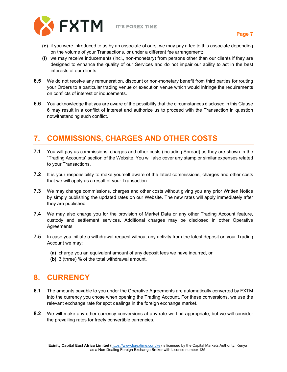

- **(e)** if you were introduced to us by an associate of ours, we may pay a fee to this associate depending on the volume of your Transactions, or under a different fee arrangement;
- **(f)** we may receive inducements (incl., non-monetary) from persons other than our clients if they are designed to enhance the quality of our Services and do not impair our ability to act in the best interests of our clients.
- **6.5** We do not receive any remuneration, discount or non-monetary benefit from third parties for routing your Orders to a particular trading venue or execution venue which would infringe the requirements on conflicts of interest or inducements.
- **6.6** You acknowledge that you are aware of the possibility that the circumstances disclosed in this Clause 6 may result in a conflict of interest and authorize us to proceed with the Transaction in question notwithstanding such conflict.

# <span id="page-7-0"></span>**7. COMMISSIONS, CHARGES AND OTHER COSTS**

- **7.1** You will pay us commissions, charges and other costs (including Spread) as they are shown in the "Trading Accounts" section of the Website. You will also cover any stamp or similar expenses related to your Transactions.
- **7.2** It is your responsibility to make yourself aware of the latest commissions, charges and other costs that we will apply as a result of your Transaction.
- **7.3** We may change commissions, charges and other costs without giving you any prior Written Notice by simply publishing the updated rates on our Website. The new rates will apply immediately after they are published.
- **7.4** We may also charge you for the provision of Market Data or any other Trading Account feature, custody and settlement services. Additional charges may be disclosed in other Operative Agreements.
- **7.5** In case you initiate a withdrawal request without any activity from the latest deposit on your Trading Account we may:
	- **(a)** charge you an equivalent amount of any deposit fees we have incurred, or
	- **(b)** 3 (three) % of the total withdrawal amount.

#### <span id="page-7-1"></span>**8. CURRENCY**

- **8.1** The amounts payable to you under the Operative Agreements are automatically converted by FXTM into the currency you chose when opening the Trading Account. For these conversions, we use the relevant exchange rate for spot dealings in the foreign exchange market.
- **8.2** We will make any other currency conversions at any rate we find appropriate, but we will consider the prevailing rates for freely convertible currencies.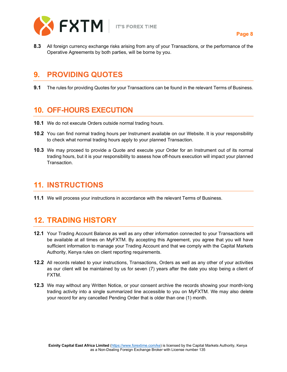

**8.3** All foreign currency exchange risks arising from any of your Transactions, or the performance of the Operative Agreements by both parties, will be borne by you.

#### <span id="page-8-0"></span>**9. PROVIDING QUOTES**

**9.1** The rules for providing Quotes for your Transactions can be found in the relevant Terms of Business.

## <span id="page-8-1"></span>**10. OFF-HOURS EXECUTION**

- **10.1** We do not execute Orders outside normal trading hours.
- **10.2** You can find normal trading hours per Instrument available on our Website. It is your responsibility to check what normal trading hours apply to your planned Transaction.
- **10.3** We may proceed to provide a Quote and execute your Order for an Instrument out of its normal trading hours, but it is your responsibility to assess how off-hours execution will impact your planned Transaction.

## <span id="page-8-2"></span>**11. INSTRUCTIONS**

**11.1** We will process your instructions in accordance with the relevant Terms of Business.

# <span id="page-8-3"></span>**12. TRADING HISTORY**

- **12.1** Your Trading Account Balance as well as any other information connected to your Transactions will be available at all times on MyFXTM. By accepting this Agreement, you agree that you will have sufficient information to manage your Trading Account and that we comply with the Capital Markets Authority, Kenya rules on client reporting requirements.
- **12.2** All records related to your instructions, Transactions, Orders as well as any other of your activities as our client will be maintained by us for seven (7) years after the date you stop being a client of FXTM.
- **12.3** We may without any Written Notice, or your consent archive the records showing your month-long trading activity into a single summarized line accessible to you on MyFXTM. We may also delete your record for any cancelled Pending Order that is older than one (1) month.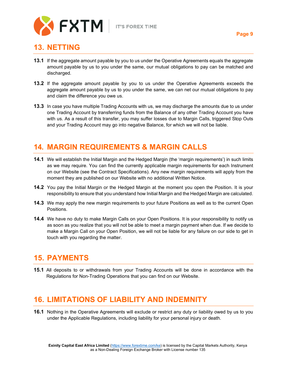

#### <span id="page-9-0"></span>**13. NETTING**

- **13.1** If the aggregate amount payable by you to us under the Operative Agreements equals the aggregate amount payable by us to you under the same, our mutual obligations to pay can be matched and discharged.
- **13.2** If the aggregate amount payable by you to us under the Operative Agreements exceeds the aggregate amount payable by us to you under the same, we can net our mutual obligations to pay and claim the difference you owe us.
- **13.3** In case you have multiple Trading Accounts with us, we may discharge the amounts due to us under one Trading Account by transferring funds from the Balance of any other Trading Account you have with us. As a result of this transfer, you may suffer losses due to Margin Calls, triggered Stop Outs and your Trading Account may go into negative Balance, for which we will not be liable.

## <span id="page-9-1"></span>**14. MARGIN REQUIREMENTS & MARGIN CALLS**

- **14.1** We will establish the Initial Margin and the Hedged Margin (the 'margin requirements') in such limits as we may require. You can find the currently applicable margin requirements for each Instrument on our Website (see the Contract Specifications). Any new margin requirements will apply from the moment they are published on our Website with no additional Written Notice.
- **14.2** You pay the Initial Margin or the Hedged Margin at the moment you open the Position. It is your responsibility to ensure that you understand how Initial Margin and the Hedged Margin are calculated.
- **14.3** We may apply the new margin requirements to your future Positions as well as to the current Open Positions.
- **14.4** We have no duty to make Margin Calls on your Open Positions. It is your responsibility to notify us as soon as you realize that you will not be able to meet a margin payment when due. If we decide to make a Margin Call on your Open Position, we will not be liable for any failure on our side to get in touch with you regarding the matter.

## <span id="page-9-2"></span>**15. PAYMENTS**

**15.1** All deposits to or withdrawals from your Trading Accounts will be done in accordance with the Regulations for Non-Trading Operations that you can find on our Website.

## <span id="page-9-3"></span>**16. LIMITATIONS OF LIABILITY AND INDEMNITY**

**16.1** Nothing in the Operative Agreements will exclude or restrict any duty or liability owed by us to you under the Applicable Regulations, including liability for your personal injury or death.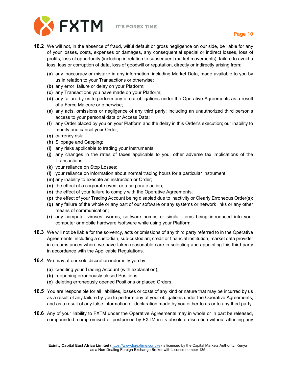

- **16.2** We will not, in the absence of fraud, wilful default or gross negligence on our side, be liable for any of your losses, costs, expenses or damages, any consequential special or indirect losses, loss of profits, loss of opportunity (including in relation to subsequent market movements), failure to avoid a loss, loss or corruption of data, loss of goodwill or reputation, directly or indirectly arising from:
	- **(a)** any inaccuracy or mistake in any information, including Market Data, made available to you by us in relation to your Transactions or otherwise;
	- **(b)** any error, failure or delay on your Platform;
	- **(c)** any Transactions you have made on your Platform;
	- **(d)** any failure by us to perform any of our obligations under the Operative Agreements as a result of a Force Majeure or otherwise;
	- **(e)** any acts, omissions or negligence of any third party; including an unauthorized third person's access to your personal data or Access Data;
	- **(f)** any Order placed by you on your Platform and the delay in this Order's execution; our inability to modify and cancel your Order;
	- **(g)** currency risk;
	- **(h)** Slippage and Gapping;
	- **(i)** any risks applicable to trading your Instruments;
	- **(j)** any changes in the rates of taxes applicable to you, other adverse tax implications of the Transactions;
	- **(k)** your reliance on Stop Losses;
	- **(l)** your reliance on information about normal trading hours for a particular Instrument;
	- **(m)** any inability to execute an instruction or Order;
	- **(n)** the effect of a corporate event or a corporate action;
	- **(o)** the effect of your failure to comply with the Operative Agreements;
	- **(p)** the effect of your Trading Account being disabled due to inactivity or Clearly Erroneous Order(s);
	- **(q)** any failure of the whole or any part of our software or any systems or network links or any other means of communication;
	- **(r)** any computer viruses, worms, software bombs or similar items being introduced into your computer or mobile hardware /software while using your Platform.
- **16.3** We will not be liable for the solvency, acts or omissions of any third party referred to in the Operative Agreements, including a custodian, sub-custodian, credit or financial institution, market data provider in circumstances where we have taken reasonable care in selecting and appointing this third party in accordance with the Applicable Regulations.
- **16.4** We may at our sole discretion indemnify you by:
	- **(a)** crediting your Trading Account (with explanation);
	- **(b)** reopening erroneously closed Positions;
	- **(c)** deleting erroneously opened Positions or placed Orders.
- **16.5** You are responsible for all liabilities, losses or costs of any kind or nature that may be incurred by us as a result of any failure by you to perform any of your obligations under the Operative Agreements, and as a result of any false information or declaration made by you either to us or to any third party.
- **16.6** Any of your liability to FXTM under the Operative Agreements may in whole or in part be released, compounded, compromised or postponed by FXTM in its absolute discretion without affecting any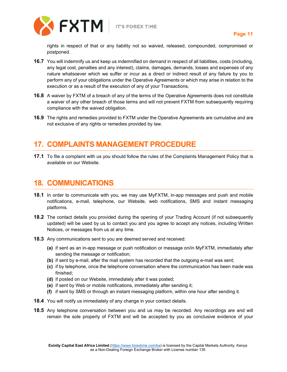



rights in respect of that or any liability not so waived, released, compounded, compromised or postponed.

- **16.7** You will indemnify us and keep us indemnified on demand in respect of all liabilities, costs (including, any legal cost, penalties and any interest), claims, damages, demands, losses and expenses of any nature whatsoever which we suffer or incur as a direct or indirect result of any failure by you to perform any of your obligations under the Operative Agreements or which may arise in relation to the execution or as a result of the execution of any of your Transactions.
- **16.8** A waiver by FXTM of a breach of any of the terms of the Operative Agreements does not constitute a waiver of any other breach of those terms and will not prevent FXTM from subsequently requiring compliance with the waived obligation.
- **16.9** The rights and remedies provided to FXTM under the Operative Agreements are cumulative and are not exclusive of any rights or remedies provided by law.

## <span id="page-11-0"></span>**17. COMPLAINTS MANAGEMENT PROCEDURE**

**17.1** To file a complaint with us you should follow the rules of the Complaints Management Policy that is available on our Website.

#### <span id="page-11-1"></span>**18. COMMUNICATIONS**

- **18.1** In order to communicate with you, we may use MyFXTM, in-app messages and push and mobile notifications, e-mail, telephone, our Website, web notifications, SMS and instant messaging platforms.
- **18.2** The contact details you provided during the opening of your Trading Account (if not subsequently updated) will be used by us to contact you and you agree to accept any notices, including Written Notices, or messages from us at any time.
- **18.3** Any communications sent to you are deemed served and received:
	- **(a)** if sent as an in-app message or push notification or message on/in MyFXTM, immediately after sending the message or notification;
	- **(b)** if sent by e-mail, after the mail system has recorded that the outgoing e-mail was sent;
	- **(c)** if by telephone, once the telephone conversation where the communication has been made was finished;
	- **(d)** if posted on our Website, immediately after it was posted;
	- **(e)** if sent by Web or mobile notifications, immediately after sending it;
	- **(f)** if sent by SMS or through an instant messaging platform, within one hour after sending it.
- **18.4** You will notify us immediately of any change in your contact details.
- **18.5** Any telephone conversation between you and us may be recorded. Any recordings are and will remain the sole property of FXTM and will be accepted by you as conclusive evidence of your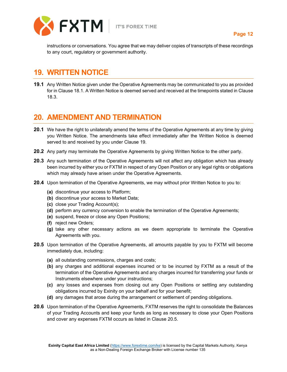

instructions or conversations. You agree that we may deliver copies of transcripts of these recordings to any court, regulatory or government authority.

## <span id="page-12-0"></span>**19. WRITTEN NOTICE**

**19.1** Any Written Notice given under the Operative Agreements may be communicated to you as provided for in Clause 18.1. A Written Notice is deemed served and received at the timepoints stated in Clause 18.3.

#### <span id="page-12-1"></span>**20. AMENDMENT AND TERMINATION**

- **20.1** We have the right to unilaterally amend the terms of the Operative Agreements at any time by giving you Written Notice. The amendments take effect immediately after the Written Notice is deemed served to and received by you under Clause 19.
- **20.2** Any party may terminate the Operative Agreements by giving Written Notice to the other party.
- **20.3** Any such termination of the Operative Agreements will not affect any obligation which has already been incurred by either you or FXTM in respect of any Open Position or any legal rights or obligations which may already have arisen under the Operative Agreements.
- **20.4** Upon termination of the Operative Agreements, we may without prior Written Notice to you to:
	- **(a)** discontinue your access to Platform;
	- **(b)** discontinue your access to Market Data;
	- **(c)** close your Trading Account(s);
	- **(d)** perform any currency conversion to enable the termination of the Operative Agreements;
	- **(e)** suspend, freeze or close any Open Positions;
	- **(f)** reject new Orders;
	- **(g)** take any other necessary actions as we deem appropriate to terminate the Operative Agreements with you.
- **20.5** Upon termination of the Operative Agreements, all amounts payable by you to FXTM will become immediately due, including:
	- **(a)** all outstanding commissions, charges and costs;
	- **(b)** any charges and additional expenses incurred or to be incurred by FXTM as a result of the termination of the Operative Agreements and any charges incurred for transferring your funds or Instruments elsewhere under your instructions;
	- **(c)** any losses and expenses from closing out any Open Positions or settling any outstanding obligations incurred by Exinity on your behalf and for your benefit;
	- **(d)** any damages that arose during the arrangement or settlement of pending obligations.
- **20.6** Upon termination of the Operative Agreements, FXTM reserves the right to consolidate the Balances of your Trading Accounts and keep your funds as long as necessary to close your Open Positions and cover any expenses FXTM occurs as listed in Clause 20.5.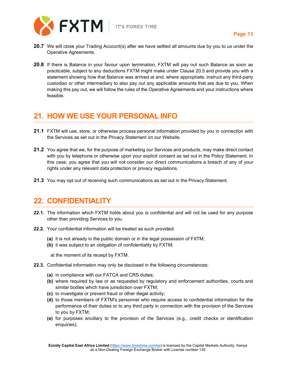

- **20.7** We will close your Trading Account(s) after we have settled all amounts due by you to us under the Operative Agreements.
- **20.8** If there is Balance in your favour upon termination, FXTM will pay out such Balance as soon as practicable, subject to any deductions FXTM might make under Clause 20.5 and provide you with a statement showing how that Balance was arrived at and, where appropriate, instruct any third-party custodian or other intermediary to also pay out any applicable amounts that are due to you. When making this pay out, we will follow the rules of the Operative Agreements and your instructions where feasible.

## <span id="page-13-0"></span>**21. HOW WE USE YOUR PERSONAL INFO**

- **21.1** FXTM will use, store, or otherwise process personal information provided by you in connection with the Services as set out in the Privacy Statement on our Website.
- **21.2** You agree that we, for the purpose of marketing our Services and products, may make direct contact with you by telephone or otherwise upon your explicit consent as set out in the Policy Statement. In this case, you agree that you will not consider our direct communications a breach of any of your rights under any relevant data protection or privacy regulations.
- **21.3** You may opt out of receiving such communications as set out in the Privacy Statement.

#### <span id="page-13-1"></span>**22. CONFIDENTIALITY**

- **22.1.** The information which FXTM holds about you is confidential and will not be used for any purpose other than providing Services to you.
- **22.2.** Your confidential information will be treated as such provided:
	- **(a)** it is not already in the public domain or in the legal possession of FXTM;
	- **(b)** it was subject to an obligation of confidentiality by FXTM;
		- at the moment of its receipt by FXTM.
- **22.3.** Confidential information may only be disclosed in the following circumstances:
	- **(a)** in compliance with our FATCA and CRS duties;
	- **(b)** where required by law or as requested by regulatory and enforcement authorities, courts and similar bodies which have jurisdiction over FXTM;
	- **(c)** to investigate or prevent fraud or other illegal activity;
	- **(d)** to those members of FXTM's personnel who require access to confidential information for the performance of their duties or to any third party in connection with the provision of the Services to you by FXTM;
	- **(e)** for purposes ancillary to the provision of the Services (e.g., credit checks or identification enquiries);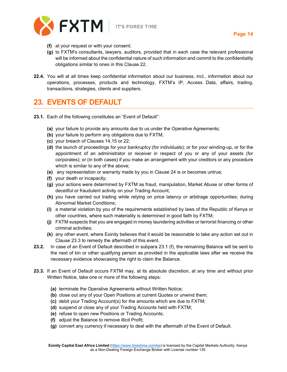

**(f)** at your request or with your consent;

- **(g)** to FXTM's consultants, lawyers, auditors, provided that in each case the relevant professional will be informed about the confidential nature of such information and commit to the confidentiality obligations similar to ones in this Clause 22.
- **22.4.** You will at all times keep confidential information about our business, incl., information about our operations, processes, products and technology, FXTM's IP, Access Data, affairs, trading, transactions, strategies, clients and suppliers.

#### <span id="page-14-0"></span>**23. EVENTS OF DEFAULT**

- **23.1.** Each of the following constitutes an "Event of Default":
	- **(a)** your failure to provide any amounts due to us under the Operative Agreements;
	- **(b)** your failure to perform any obligations due to FXTM;
	- **(c)** your breach of Clauses 14,15 or 22;
	- **(d)** the launch of proceedings for your bankruptcy (for individuals); or for your winding-up, or for the appointment of an administrator or receiver in respect of you or any of your assets (for corporates); or (in both cases) if you make an arrangement with your creditors or any procedure which is similar to any of the above;
	- **(e)** any representation or warranty made by you in Clause 24 is or becomes untrue;
	- **(f)** your death or incapacity;
	- **(g)** your actions were determined by FXTM as fraud, manipulation, Market Abuse or other forms of deceitful or fraudulent activity on your Trading Account;
	- **(h)** you have carried out trading while relying on price latency or arbitrage opportunities; during Abnormal Market Conditions;
	- **(i)** a material violation by you of the requirements established by laws of the Republic of Kenya or other countries, where such materiality is determined in good faith by FXTM;
	- **(j)** FXTM suspects that you are engaged in money laundering activities or terrorist financing or other criminal activities;
	- **(k)** any other event, where Exinity believes that it would be reasonable to take any action set out in Clause 23.3 to remedy the aftermath of this event.
- **23.2.** In case of an Event of Default described in subpara 23.1 (f), the remaining Balance will be sent to the next of kin or other qualifying person as provided in the applicable laws after we receive the necessary evidence showcasing the right to claim the Balance.
- **23.3.** If an Event of Default occurs FXTM may, at its absolute discretion, at any time and without prior Written Notice, take one or more of the following steps:
	- **(a)** terminate the Operative Agreements without Written Notice;
	- **(b)** close out any of your Open Positions at current Quotes or unwind them;
	- **(c)** debit your Trading Account(s) for the amounts which are due to FXTM;
	- **(d)** suspend or close any of your Trading Accounts held with FXTM;
	- **(e)** refuse to open new Positions or Trading Accounts;
	- **(f)** adjust the Balance to remove illicit Profit;
	- **(g)** convert any currency if necessary to deal with the aftermath of the Event of Default.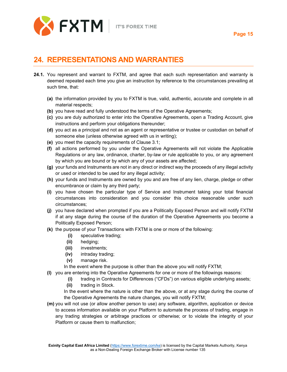

## <span id="page-15-0"></span>**24. REPRESENTATIONS AND WARRANTIES**

- **24.1.** You represent and warrant to FXTM, and agree that each such representation and warranty is deemed repeated each time you give an instruction by reference to the circumstances prevailing at such time, that:
	- **(a)** the information provided by you to FXTM is true, valid, authentic, accurate and complete in all material respects;
	- **(b)** you have read and fully understood the terms of the Operative Agreements;
	- **(c)** you are duly authorized to enter into the Operative Agreements, open a Trading Account, give instructions and perform your obligations thereunder;
	- **(d)** you act as a principal and not as an agent or representative or trustee or custodian on behalf of someone else (unless otherwise agreed with us in writing);
	- **(e)** you meet the capacity requirements of Clause 3.1;
	- **(f)** all actions performed by you under the Operative Agreements will not violate the Applicable Regulations or any law, ordinance, charter, by-law or rule applicable to you, or any agreement by which you are bound or by which any of your assets are affected;
	- **(g)** your funds and Instruments are not in any direct or indirect way the proceeds of any illegal activity or used or intended to be used for any illegal activity;
	- **(h)** your funds and Instruments are owned by you and are free of any lien, charge, pledge or other encumbrance or claim by any third party;
	- **(i)** you have chosen the particular type of Service and Instrument taking your total financial circumstances into consideration and you consider this choice reasonable under such circumstances;
	- **(j)** you have declared when prompted if you are a Politically Exposed Person and will notify FXTM if at any stage during the course of the duration of the Operative Agreements you become a Politically Exposed Person;
	- **(k)** the purpose of your Transactions with FXTM is one or more of the following:
		- **(i)** speculative trading;
		- **(ii)** hedging;
		- **(iii)** investments;
		- **(iv)** intraday trading;
		- **(v)** manage risk.

In the event where the purpose is other than the above you will notify FXTM;

- **(l)** you are entering into the Operative Agreements for one or more of the followings reasons:
	- **(i)** trading in Contracts for Differences ("CFDs") on various eligible underlying assets;
	- **(ii)** trading in Stock.

In the event where the nature is other than the above, or at any stage during the course of the Operative Agreements the nature changes, you will notify FXTM;

**(m)** you will not use (or allow another person to use) any software, algorithm, application or device to access information available on your Platform to automate the process of trading, engage in any trading strategies or arbitrage practices or otherwise; or to violate the integrity of your Platform or cause them to malfunction;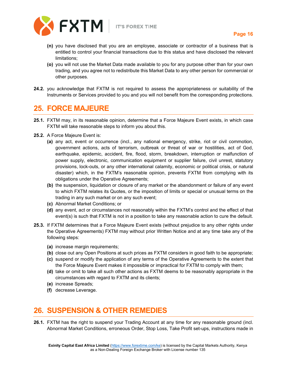

- **(n)** you have disclosed that you are an employee, associate or contractor of a business that is entitled to control your financial transactions due to this status and have disclosed the relevant limitations;
- **(o)** you will not use the Market Data made available to you for any purpose other than for your own trading, and you agree not to redistribute this Market Data to any other person for commercial or other purposes.
- **24.2.** you acknowledge that FXTM is not required to assess the appropriateness or suitability of the Instruments or Services provided to you and you will not benefit from the corresponding protections.

#### <span id="page-16-0"></span>**25. FORCE MAJEURE**

- **25.1.** FXTM may, in its reasonable opinion, determine that a Force Majeure Event exists, in which case FXTM will take reasonable steps to inform you about this.
- **25.2.** A Force Majeure Event is:
	- **(a)** any act, event or occurrence (incl., any national emergency, strike, riot or civil commotion, government actions, acts of terrorism, outbreak or threat of war or hostilities, act of God, earthquake, epidemic, accident, fire, flood, storm, breakdown, interruption or malfunction of power supply, electronic, communication equipment or supplier failure, civil unrest, statutory provisions, lock-outs, or any other international calamity, economic or political crisis, or natural disaster) which, in the FXTM's reasonable opinion, prevents FXTM from complying with its obligations under the Operative Agreements;
	- **(b)** the suspension, liquidation or closure of any market or the abandonment or failure of any event to which FXTM relates its Quotes, or the imposition of limits or special or unusual terms on the trading in any such market or on any such event;
	- **(c)** Abnormal Market Conditions; or
	- **(d)** any event, act or circumstances not reasonably within the FXTM's control and the effect of that event(s) is such that FXTM is not in a position to take any reasonable action to cure the default.
- **25.3.** If FXTM determines that a Force Majeure Event exists (without prejudice to any other rights under the Operative Agreements) FXTM may without prior Written Notice and at any time take any of the following steps:
	- **(a)** increase margin requirements;
	- **(b)** close out any Open Positions at such prices as FXTM considers in good faith to be appropriate;
	- **(c)** suspend or modify the application of any terms of the Operative Agreements to the extent that the Force Majeure Event makes it impossible or impractical for FXTM to comply with them;
	- **(d)** take or omit to take all such other actions as FXTM deems to be reasonably appropriate in the circumstances with regard to FXTM and its clients;
	- **(e)** increase Spreads;
	- **(f)** decrease Leverage.

## <span id="page-16-1"></span>**26. SUSPENSION & OTHER REMEDIES**

**26.1.** FXTM has the right to suspend your Trading Account at any time for any reasonable ground (incl. Abnormal Market Conditions, erroneous Order, Stop Loss, Take Profit set-ups, instructions made in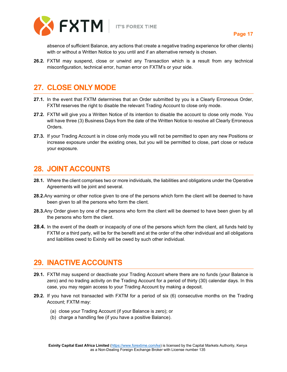

absence of sufficient Balance, any actions that create a negative trading experience for other clients) with or without a Written Notice to you until and if an alternative remedy is chosen.

**26.2.** FXTM may suspend, close or unwind any Transaction which is a result from any technical misconfiguration, technical error, human error on FXTM's or your side.

## <span id="page-17-0"></span>**27. CLOSE ONLY MODE**

- **27.1.** In the event that FXTM determines that an Order submitted by you is a Clearly Erroneous Order, FXTM reserves the right to disable the relevant Trading Account to close only mode.
- **27.2.** FXTM will give you a Written Notice of its intention to disable the account to close only mode. You will have three (3) Business Days from the date of the Written Notice to resolve all Clearly Erroneous Orders.
- **27.3.** If your Trading Account is in close only mode you will not be permitted to open any new Positions or increase exposure under the existing ones, but you will be permitted to close, part close or reduce your exposure.

#### <span id="page-17-1"></span>**28. JOINT ACCOUNTS**

- **28.1.** Where the client comprises two or more individuals, the liabilities and obligations under the Operative Agreements will be joint and several.
- **28.2.**Any warning or other notice given to one of the persons which form the client will be deemed to have been given to all the persons who form the client.
- **28.3.**Any Order given by one of the persons who form the client will be deemed to have been given by all the persons who form the client.
- **28.4.** In the event of the death or incapacity of one of the persons which form the client, all funds held by FXTM or a third party, will be for the benefit and at the order of the other individual and all obligations and liabilities owed to Exinity will be owed by such other individual.

#### <span id="page-17-2"></span>**29. INACTIVE ACCOUNTS**

- **29.1.** FXTM may suspend or deactivate your Trading Account where there are no funds (your Balance is zero) and no trading activity on the Trading Account for a period of thirty (30) calendar days. In this case, you may regain access to your Trading Account by making a deposit.
- **29.2.** If you have not transacted with FXTM for a period of six (6) consecutive months on the Trading Account; FXTM may:
	- (a) close your Trading Account (if your Balance is zero); or
	- (b) charge a handling fee (if you have a positive Balance).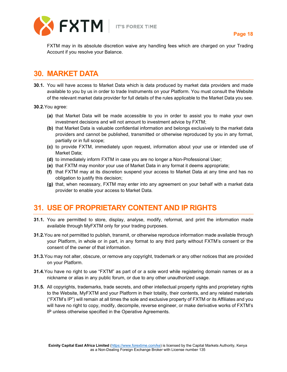

FXTM may in its absolute discretion waive any handling fees which are charged on your Trading Account if you resolve your Balance.

## <span id="page-18-0"></span>**30. MARKET DATA**

- **30.1.** You will have access to Market Data which is data produced by market data providers and made available to you by us in order to trade Instruments on your Platform. You must consult the Website of the relevant market data provider for full details of the rules applicable to the Market Data you see.
- **30.2.**You agree:
	- **(a)** that Market Data will be made accessible to you in order to assist you to make your own investment decisions and will not amount to investment advice by FXTM;
	- **(b)** that Market Data is valuable confidential information and belongs exclusively to the market data providers and cannot be published, transmitted or otherwise reproduced by you in any format, partially or in full scope;
	- **(c)** to provide FXTM, immediately upon request, information about your use or intended use of Market Data;
	- **(d)** to immediately inform FXTM in case you are no longer a Non-Professional User;
	- **(e)** that FXTM may monitor your use of Market Data in any format it deems appropriate;
	- **(f)** that FXTM may at its discretion suspend your access to Market Data at any time and has no obligation to justify this decision;
	- **(g)** that, when necessary, FXTM may enter into any agreement on your behalf with a market data provider to enable your access to Market Data.

#### <span id="page-18-1"></span>**31. USE OF PROPRIETARY CONTENT AND IP RIGHTS**

- **31.1.** You are permitted to store, display, analyse, modify, reformat, and print the information made available through MyFXTM only for your trading purposes.
- **31.2.**You are not permitted to publish, transmit, or otherwise reproduce information made available through your Platform, in whole or in part, in any format to any third party without FXTM's consent or the consent of the owner of that information.
- **31.3.**You may not alter, obscure, or remove any copyright, trademark or any other notices that are provided on your Platform.
- **31.4.**You have no right to use "FXTM" as part of or a sole word while registering domain names or as a nickname or alias in any public forum, or due to any other unauthorized usage.
- **31.5.** All copyrights, trademarks, trade secrets, and other intellectual property rights and proprietary rights to the Website, MyFXTM and your Platform in their totality, their contents, and any related materials ("FXTM's IP") will remain at all times the sole and exclusive property of FXTM or its Affiliates and you will have no right to copy, modify, decompile, reverse engineer, or make derivative works of FXTM's IP unless otherwise specified in the Operative Agreements.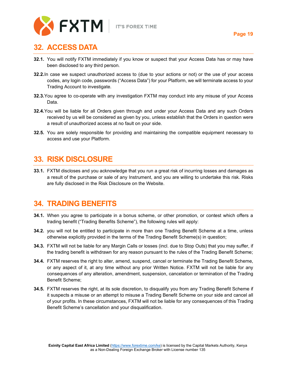

## <span id="page-19-0"></span>**32. ACCESS DATA**

- **32.1.** You will notify FXTM immediately if you know or suspect that your Access Data has or may have been disclosed to any third person.
- **32.2.**In case we suspect unauthorized access to (due to your actions or not) or the use of your access codes, any login code, passwords ("Access Data") for your Platform, we will terminate access to your Trading Account to investigate.
- **32.3.**You agree to co-operate with any investigation FXTM may conduct into any misuse of your Access Data.
- **32.4.**You will be liable for all Orders given through and under your Access Data and any such Orders received by us will be considered as given by you, unless establish that the Orders in question were a result of unauthorized access at no fault on your side.
- **32.5.** You are solely responsible for providing and maintaining the compatible equipment necessary to access and use your Platform.

#### <span id="page-19-1"></span>**33. RISK DISCLOSURE**

**33.1.** FXTM discloses and you acknowledge that you run a great risk of incurring losses and damages as a result of the purchase or sale of any Instrument, and you are willing to undertake this risk. Risks are fully disclosed in the Risk Disclosure on the Website.

#### <span id="page-19-2"></span>**34. TRADING BENEFITS**

- **34.1.** When you agree to participate in a bonus scheme, or other promotion, or contest which offers a trading benefit ("Trading Benefits Scheme"), the following rules will apply:
- **34.2.** you will not be entitled to participate in more than one Trading Benefit Scheme at a time, unless otherwise explicitly provided in the terms of the Trading Benefit Scheme(s) in question;
- **34.3.** FXTM will not be liable for any Margin Calls or losses (incl. due to Stop Outs) that you may suffer, if the trading benefit is withdrawn for any reason pursuant to the rules of the Trading Benefit Scheme;
- **34.4.** FXTM reserves the right to alter, amend, suspend, cancel or terminate the Trading Benefit Scheme, or any aspect of it, at any time without any prior Written Notice. FXTM will not be liable for any consequences of any alteration, amendment, suspension, cancelation or termination of the Trading Benefit Scheme;
- **34.5.** FXTM reserves the right, at its sole discretion, to disqualify you from any Trading Benefit Scheme if it suspects a misuse or an attempt to misuse a Trading Benefit Scheme on your side and cancel all of your profits. In these circumstances, FXTM will not be liable for any consequences of this Trading Benefit Scheme's cancellation and your disqualification.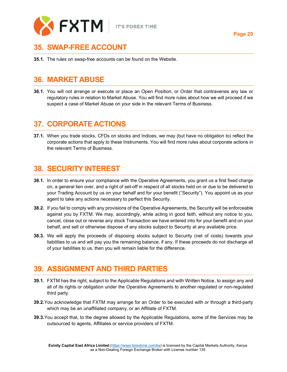

## <span id="page-20-0"></span>**35. SWAP-FREE ACCOUNT**

**35.1.** The rules on swap-free accounts can be found on the Website.

## <span id="page-20-1"></span>**36. MARKET ABUSE**

**36.1.** You will not arrange or execute or place an Open Position, or Order that contravenes any law or regulatory rules in relation to Market Abuse. You will find more rules about how we will proceed if we suspect a case of Market Abuse on your side in the relevant Terms of Business.

## <span id="page-20-2"></span>**37. CORPORATE ACTIONS**

**37.1.** When you trade stocks, CFDs on stocks and Indices, we may (but have no obligation to) reflect the corporate actions that apply to these Instruments. You will find more rules about corporate actions in the relevant Terms of Business.

## <span id="page-20-3"></span>**38. SECURITY INTEREST**

- **38.1.** In order to ensure your compliance with the Operative Agreements, you grant us a first fixed charge on, a general lien over, and a right of set-off in respect of all stocks held on or due to be delivered to your Trading Account by us on your behalf and for your benefit ("Security"). You appoint us as your agent to take any actions necessary to perfect this Security.
- **38.2.** If you fail to comply with any provisions of the Operative Agreements, the Security will be enforceable against you by FXTM. We may, accordingly, while acting in good faith, without any notice to you, cancel, close out or reverse any stock Transaction we have entered into for your benefit and on your behalf, and sell or otherwise dispose of any stocks subject to Security at any available price.
- **38.3.** We will apply the proceeds of disposing stocks subject to Security (net of costs) towards your liabilities to us and will pay you the remaining balance, if any. If these proceeds do not discharge all of your liabilities to us, then you will remain liable for the difference.

## <span id="page-20-4"></span>**39. ASSIGNMENT AND THIRD PARTIES**

- **39.1.** FXTM has the right, subject to the Applicable Regulations and with Written Notice, to assign any and all of its rights or obligation under the Operative Agreements to another regulated or non-regulated third party.
- **39.2.**You acknowledge that FXTM may arrange for an Order to be executed with or through a third-party which may be an unaffiliated company, or an Affiliate of FXTM.
- **39.3.**You accept that, to the degree allowed by the Applicable Regulations, some of the Services may be outsourced to agents, Affiliates or service providers of FXTM.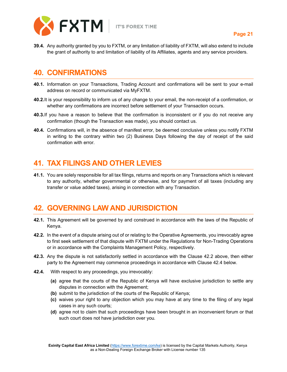

**39.4.** Any authority granted by you to FXTM, or any limitation of liability of FXTM, will also extend to include the grant of authority to and limitation of liability of its Affiliates, agents and any service providers.

#### <span id="page-21-0"></span>**40. CONFIRMATIONS**

- **40.1.** Information on your Transactions, Trading Account and confirmations will be sent to your e-mail address on record or communicated via MyFXTM.
- **40.2.**It is your responsibility to inform us of any change to your email, the non-receipt of a confirmation, or whether any confirmations are incorrect before settlement of your Transaction occurs.
- **40.3.**If you have a reason to believe that the confirmation is inconsistent or if you do not receive any confirmation (though the Transaction was made), you should contact us.
- **40.4.** Confirmations will, in the absence of manifest error, be deemed conclusive unless you notify FXTM in writing to the contrary within two (2) Business Days following the day of receipt of the said confirmation with error.

## <span id="page-21-1"></span>**41. TAX FILINGS AND OTHER LEVIES**

**41.1.** You are solely responsible for all tax filings, returns and reports on any Transactions which is relevant to any authority, whether governmental or otherwise, and for payment of all taxes (including any transfer or value added taxes), arising in connection with any Transaction.

#### <span id="page-21-2"></span>**42. GOVERNING LAW AND JURISDICTION**

- **42.1.** This Agreement will be governed by and construed in accordance with the laws of the Republic of Kenya.
- **42.2.** In the event of a dispute arising out of or relating to the Operative Agreements, you irrevocably agree to first seek settlement of that dispute with FXTM under the Regulations for Non-Trading Operations or in accordance with the Complaints Management Policy, respectively.
- **42.3.** Any the dispute is not satisfactorily settled in accordance with the Clause 42.2 above, then either party to the Agreement may commence proceedings in accordance with Clause 42.4 below.
- **42.4.** With respect to any proceedings, you irrevocably:
	- **(a)** agree that the courts of the Republic of Kenya will have exclusive jurisdiction to settle any disputes in connection with the Agreement;
	- **(b)** submit to the jurisdiction of the courts of the Republic of Kenya;
	- **(c)** waives your right to any objection which you may have at any time to the filing of any legal cases in any such courts;
	- **(d)** agree not to claim that such proceedings have been brought in an inconvenient forum or that such court does not have jurisdiction over you.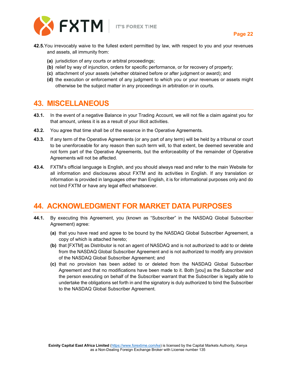

- **42.5.**You irrevocably waive to the fullest extent permitted by law, with respect to you and your revenues and assets, all immunity from:
	- **(a)** jurisdiction of any courts or arbitral proceedings;
	- **(b)** relief by way of injunction, orders for specific performance, or for recovery of property;
	- **(c)** attachment of your assets (whether obtained before or after judgment or award); and
	- **(d)** the execution or enforcement of any judgment to which you or your revenues or assets might otherwise be the subject matter in any proceedings in arbitration or in courts.

#### <span id="page-22-0"></span>**43. MISCELLANEOUS**

- **43.1.** In the event of a negative Balance in your Trading Account, we will not file a claim against you for that amount, unless it is as a result of your illicit activities.
- **43.2.** You agree that time shall be of the essence in the Operative Agreements.
- **43.3.** If any term of the Operative Agreements (or any part of any term) will be held by a tribunal or court to be unenforceable for any reason then such term will, to that extent, be deemed severable and not form part of the Operative Agreements, but the enforceability of the remainder of Operative Agreements will not be affected.
- **43.4.** FXTM's official language is English, and you should always read and refer to the main Website for all information and disclosures about FXTM and its activities in English. If any translation or information is provided in languages other than English, it is for informational purposes only and do not bind FXTM or have any legal effect whatsoever.

#### <span id="page-22-1"></span>**44. ACKNOWLEDGMENT FOR MARKET DATA PURPOSES**

- **44.1.** By executing this Agreement, you (known as "Subscriber" in the NASDAQ Global Subscriber Agreement) agree:
	- **(a)** that you have read and agree to be bound by the NASDAQ Global Subscriber Agreement, a copy of which is attached hereto;
	- **(b)** that [FXTM] as Distributor is not an agent of NASDAQ and is not authorized to add to or delete from the NASDAQ Global Subscriber Agreement and is not authorized to modify any provision of the NASDAQ Global Subscriber Agreement; and
	- **(c)** that no provision has been added to or deleted from the NASDAQ Global Subscriber Agreement and that no modifications have been made to it. Both [you] as the Subscriber and the person executing on behalf of the Subscriber warrant that the Subscriber is legally able to undertake the obligations set forth in and the signatory is duly authorized to bind the Subscriber to the NASDAQ Global Subscriber Agreement.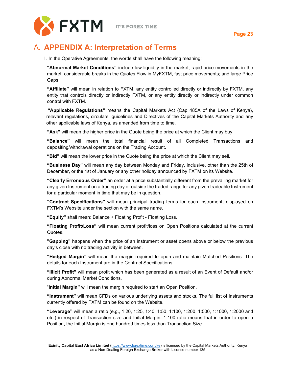



## <span id="page-23-0"></span>A. **APPENDIX A: Interpretation of Terms**

I. In the Operative Agreements, the words shall have the following meaning:

**"Abnormal Market Conditions"** include low liquidity in the market, rapid price movements in the market, considerable breaks in the Quotes Flow in MyFXTM, fast price movements; and large Price Gaps.

**"Affiliate"** will mean in relation to FXTM, any entity controlled directly or indirectly by FXTM, any entity that controls directly or indirectly FXTM, or any entity directly or indirectly under common control with FXTM.

**"Applicable Regulations"** means the Capital Markets Act (Cap 485A of the Laws of Kenya), relevant regulations, circulars, guidelines and Directives of the Capital Markets Authority and any other applicable laws of Kenya, as amended from time to time.

**"Ask"** will mean the higher price in the Quote being the price at which the Client may buy.

**"Balance"** will mean the total financial result of all Completed Transactions and depositing/withdrawal operations on the Trading Account.

**"Bid"** will mean the lower price in the Quote being the price at which the Client may sell.

**"Business Day"** will mean any day between Monday and Friday, inclusive, other than the 25th of December, or the 1st of January or any other holiday announced by FXTM on its Website.

**"Clearly Erroneous Order"** an order at a price substantially different from the prevailing market for any given Instrument on a trading day or outside the traded range for any given tradeable Instrument for a particular moment in time that may be in question.

**"Contract Specifications"** will mean principal trading terms for each Instrument, displayed on FXTM's Website under the section with the same name.

**"Equity"** shall mean: Balance + Floating Profit - Floating Loss.

**"Floating Profit/Loss"** will mean current profit/loss on Open Positions calculated at the current Quotes.

**"Gapping"** happens when the price of an instrument or asset opens above or below the previous day's close with no trading activity in between.

**"Hedged Margin"** will mean the margin required to open and maintain Matched Positions. The details for each Instrument are in the Contract Specifications.

**"Illicit Profit"** will mean profit which has been generated as a result of an Event of Default and/or during Abnormal Market Conditions.

"**Initial Margin"** will mean the margin required to start an Open Position.

**"Instrument"** will mean CFDs on various underlying assets and stocks. The full list of Instruments currently offered by FXTM can be found on the Website.

**"Leverage"** will mean a ratio (e.g., 1:20, 1:25, 1:40, 1:50, 1:100, 1:200, 1:500, 1:1000, 1:2000 and etc.) in respect of Transaction size and Initial Margin. 1:100 ratio means that in order to open a Position, the Initial Margin is one hundred times less than Transaction Size.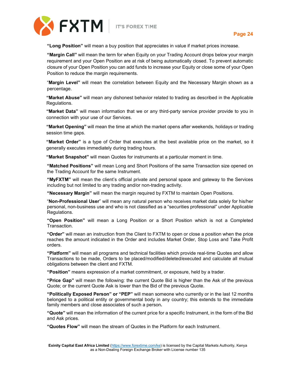



**"Long Position"** will mean a buy position that appreciates in value if market prices increase.

**"Margin Call"** will mean the term for when Equity on your Trading Account drops below your margin requirement and your Open Position are at risk of being automatically closed. To prevent automatic closure of your Open Position you can add funds to increase your Equity or close some of your Open Position to reduce the margin requirements.

"**Margin Level"** will mean the correlation between Equity and the Necessary Margin shown as a percentage.

**"Market Abuse"** will mean any dishonest behavior related to trading as described in the Applicable Regulations.

**"Market Data"** will mean information that we or any third-party service provider provide to you in connection with your use of our Services.

**"Market Opening"** will mean the time at which the market opens after weekends, holidays or trading session time gaps.

**"Market Order"** is a type of Order that executes at the best available price on the market, so it generally executes immediately during trading hours.

**"Market Snapshot"** will mean Quotes for instruments at a particular moment in time.

**"Matched Positions"** will mean Long and Short Positions of the same Transaction size opened on the Trading Account for the same Instrument.

**"MyFXTM"** will mean the client's official private and personal space and gateway to the Services including but not limited to any trading and/or non-trading activity.

**"Necessary Margin"** will mean the margin required by FXTM to maintain Open Positions.

"**Non-Professional User**" will mean any natural person who receives market data solely for his/her personal, non-business use and who is not classified as a "securities professional" under Applicable Regulations.

**"Open Position"** will mean a Long Position or a Short Position which is not a Completed Transaction.

**"Order"** will mean an instruction from the Client to FXTM to open or close a position when the price reaches the amount indicated in the Order and includes Market Order, Stop Loss and Take Profit orders.

**"Platform"** will mean all programs and technical facilities which provide real-time Quotes and allow Transactions to be made, Orders to be placed/modified/deleted/executed and calculate all mutual obligations between the client and FXTM.

**"Position"** means expression of a market commitment, or exposure, held by a trader.

**"Price Gap"** will mean the following: the current Quote Bid is higher than the Ask of the previous Quote; or the current Quote Ask is lower than the Bid of the previous Quote.

**"Politically Exposed Person" or "PEP"** will mean someone who currently or in the last 12 months belonged to a political entity or governmental body in any country; this extends to the immediate family members and close associates of such a person**.**

**"Quote"** will mean the information of the current price for a specific Instrument, in the form of the Bid and Ask prices.

**"Quotes Flow"** will mean the stream of Quotes in the Platform for each Instrument.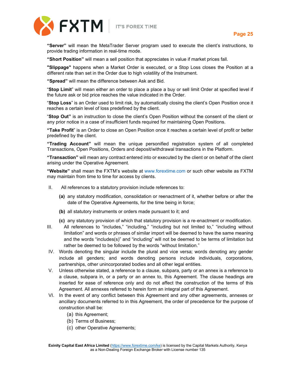



**"Server"** will mean the MetaTrader Server program used to execute the client's instructions, to provide trading information in real-time mode.

**"Short Position"** will mean a sell position that appreciates in value if market prices fall.

**"Slippage"** happens when a Market Order is executed, or a Stop Loss closes the Position at a different rate than set in the Order due to high volatility of the Instrument.

**"Spread"** will mean the difference between Ask and Bid.

"**Stop Limit**" will mean either an order to place a place a buy or sell limit Order at specified level if the future ask or bid price reaches the value indicated in the Order.

"**Stop Loss**" is an Order used to limit risk, by automatically closing the client's Open Position once it reaches a certain level of loss predefined by the client.

"**Stop Out"** is an instruction to close the client's Open Position without the consent of the client or any prior notice in a case of insufficient funds required for maintaining Open Positions.

**"Take Profit**" is an Order to close an Open Position once it reaches a certain level of profit or better predefined by the client.

**"Trading Account"** will mean the unique personified registration system of all completed Transactions, Open Positions, Orders and deposit/withdrawal transactions in the Platform.

**"Transaction"** will mean any contract entered into or executed by the client or on behalf of the client arising under the Operative Agreement.

**"Website"** shall mean the FXTM's website at [www.forextime.com](http://www.forextime.com/) or such other website as FXTM may maintain from time to time for access by clients.

- II. All references to a statutory provision include references to:
	- **(a)** any statutory modification, consolidation or reenactment of it, whether before or after the date of the Operative Agreements, for the time being in force;
	- **(b)** all statutory instruments or orders made pursuant to it; and
	- **(c)** any statutory provision of which that statutory provision is a re‐enactment or modification.
- III. All references to "includes," "including," "including but not limited to," "including without limitation" and words or phrases of similar import will be deemed to have the same meaning and the words "includes(s)" and "including" will not be deemed to be terms of limitation but rather be deemed to be followed by the words "without limitation."
- IV. Words denoting the singular include the plural and vice versa; words denoting any gender include all genders; and words denoting persons include individuals, corporations, partnerships, other unincorporated bodies and all other legal entities.
- V. Unless otherwise stated, a reference to a clause, subpara, party or an annex is a reference to a clause, subpara in, or a party or an annex to, this Agreement. The clause headings are inserted for ease of reference only and do not affect the construction of the terms of this Agreement. All annexes referred to herein form an integral part of this Agreement.
- VI. In the event of any conflict between this Agreement and any other agreements, annexes or ancillary documents referred to in this Agreement, the order of precedence for the purpose of construction shall be:
	- (a) this Agreement;
	- (b) Terms of Business;
	- (c) other Operative Agreements;